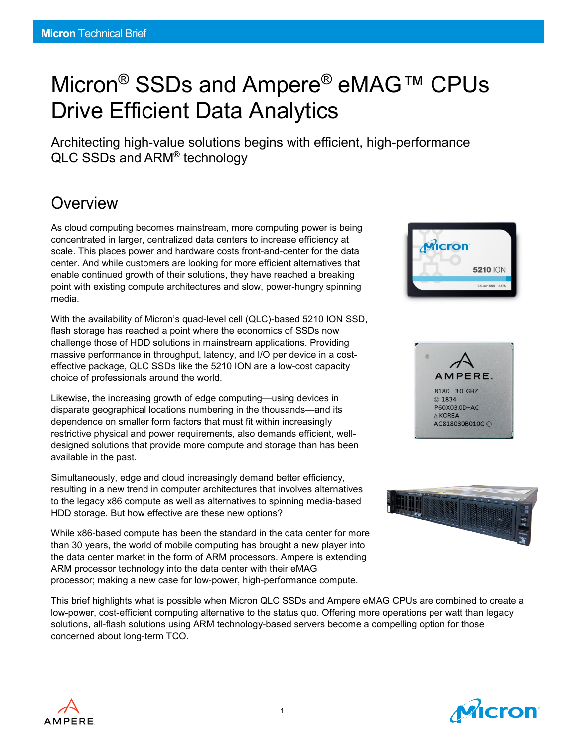# Micron<sup>®</sup> SSDs and Ampere<sup>®</sup> eMAG™ CPUs Drive Efficient Data Analytics

Architecting high-value solutions begins with efficient, high-performance QLC SSDs and ARM® technology

## **Overview**

As cloud computing becomes mainstream, more computing power is being concentrated in larger, centralized data centers to increase efficiency at scale. This places power and hardware costs front-and-center for the data center. And while customers are looking for more efficient alternatives that enable continued growth of their solutions, they have reached a breaking point with existing compute architectures and slow, power-hungry spinning media.

With the availability of Micron's quad-level cell (QLC)-based 5210 ION SSD, flash storage has reached a point where the economics of SSDs now challenge those of HDD solutions in mainstream applications. Providing massive performance in throughput, latency, and I/O per device in a costeffective package, QLC SSDs like the 5210 ION are a low-cost capacity choice of professionals around the world.

Likewise, the increasing growth of edge computing—using devices in disparate geographical locations numbering in the thousands—and its dependence on smaller form factors that must fit within increasingly restrictive physical and power requirements, also demands efficient, welldesigned solutions that provide more compute and storage than has been available in the past.

Simultaneously, edge and cloud increasingly demand better efficiency, resulting in a new trend in computer architectures that involves alternatives to the legacy x86 compute as well as alternatives to spinning media-based HDD storage. But how effective are these new options?

While x86-based compute has been the standard in the data center for more than 30 years, the world of mobile computing has brought a new player into the data center market in the form of ARM processors. Ampere is extending ARM processor technology into the data center with their eMAG processor; making a new case for low-power, high-performance compute.

This brief highlights what is possible when Micron QLC SSDs and Ampere eMAG CPUs are combined to create a low-power, cost-efficient computing alternative to the status quo. Offering more operations per watt than legacy solutions, all-flash solutions using ARM technology-based servers become a compelling option for those concerned about long-term TCO.









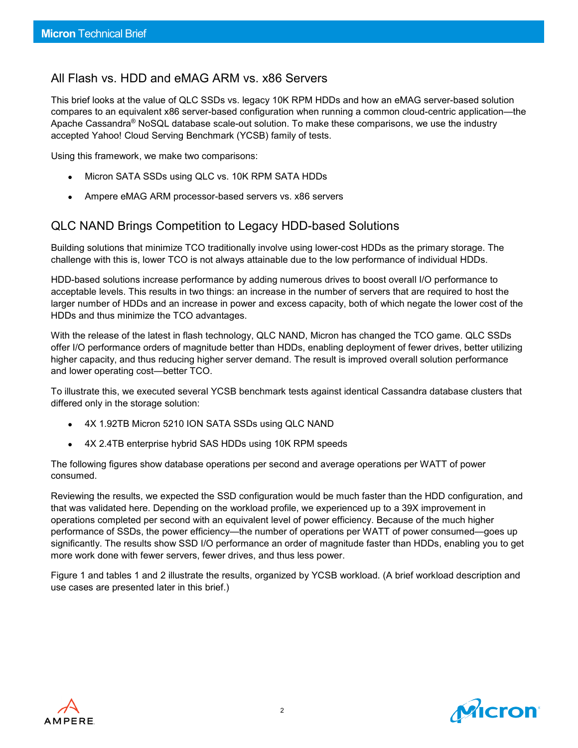### All Flash vs. HDD and eMAG ARM vs. x86 Servers

This brief looks at the value of QLC SSDs vs. legacy 10K RPM HDDs and how an eMAG server-based solution compares to an equivalent x86 server-based configuration when running a common cloud-centric application—the Apache Cassandra® NoSQL database scale-out solution. To make these comparisons, we use the industry accepted Yahoo! Cloud Serving Benchmark (YCSB) family of tests.

Using this framework, we make two comparisons:

- Micron SATA SSDs using QLC vs. 10K RPM SATA HDDs
- Ampere eMAG ARM processor-based servers vs. x86 servers

### QLC NAND Brings Competition to Legacy HDD-based Solutions

Building solutions that minimize TCO traditionally involve using lower-cost HDDs as the primary storage. The challenge with this is, lower TCO is not always attainable due to the low performance of individual HDDs.

HDD-based solutions increase performance by adding numerous drives to boost overall I/O performance to acceptable levels. This results in two things: an increase in the number of servers that are required to host the larger number of HDDs and an increase in power and excess capacity, both of which negate the lower cost of the HDDs and thus minimize the TCO advantages.

With the release of the latest in flash technology, QLC NAND, Micron has changed the TCO game. QLC SSDs offer I/O performance orders of magnitude better than HDDs, enabling deployment of fewer drives, better utilizing higher capacity, and thus reducing higher server demand. The result is improved overall solution performance and lower operating cost—better TCO.

To illustrate this, we executed several YCSB benchmark tests against identical Cassandra database clusters that differed only in the storage solution:

- 4X 1.92TB Micron 5210 ION SATA SSDs using QLC NAND
- 4X 2.4TB enterprise hybrid SAS HDDs using 10K RPM speeds

The following figures show database operations per second and average operations per WATT of power consumed.

Reviewing the results, we expected the SSD configuration would be much faster than the HDD configuration, and that was validated here. Depending on the workload profile, we experienced up to a 39X improvement in operations completed per second with an equivalent level of power efficiency. Because of the much higher performance of SSDs, the power efficiency—the number of operations per WATT of power consumed—goes up significantly. The results show SSD I/O performance an order of magnitude faster than HDDs, enabling you to get more work done with fewer servers, fewer drives, and thus less power.

Figure 1 and tables 1 and 2 illustrate the results, organized by YCSB workload. (A brief workload description and use cases are presented later in this brief.)



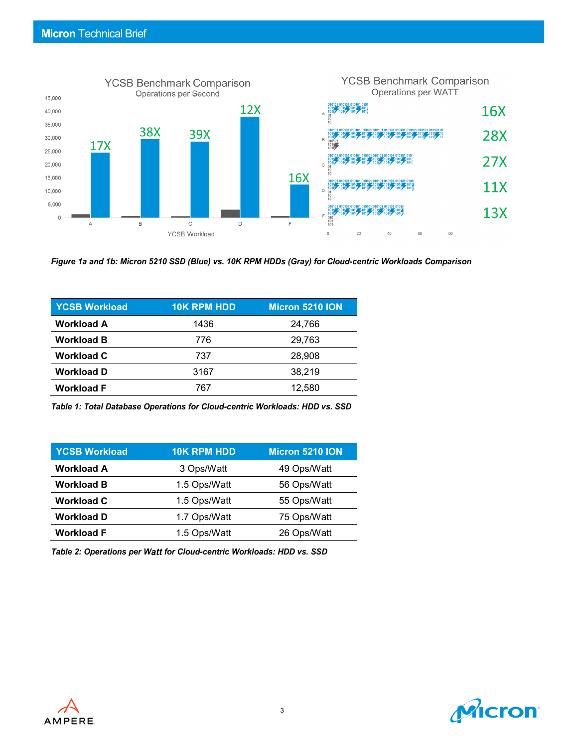

*Figure 1a and 1b: Micron 5210 SSD (Blue) vs. 10K RPM HDDs (Gray) for Cloud-centric Workloads Comparison*

| <b>10K RPM HDD</b> | <b>Micron 5210 ION</b> |
|--------------------|------------------------|
| 1436               | 24,766                 |
| 776                | 29,763                 |
| 737                | 28,908                 |
| 3167               | 38,219                 |
| 767                | 12,580                 |
|                    |                        |

*Table 1: Total Database Operations for Cloud-centric Workloads: HDD vs. SSD*

| <b>YCSB Workload</b> | <b>10K RPM HDD</b> | Micron 5210 ION |
|----------------------|--------------------|-----------------|
| <b>Workload A</b>    | 3 Ops/Watt         | 49 Ops/Watt     |
| <b>Workload B</b>    | 1.5 Ops/Watt       | 56 Ops/Watt     |
| <b>Workload C</b>    | 1.5 Ops/Watt       | 55 Ops/Watt     |
| <b>Workload D</b>    | 1.7 Ops/Watt       | 75 Ops/Watt     |
| <b>Workload F</b>    | 1.5 Ops/Watt       | 26 Ops/Watt     |

*Table 2: Operations per Watt for Cloud-centric Workloads: HDD vs. SSD* 



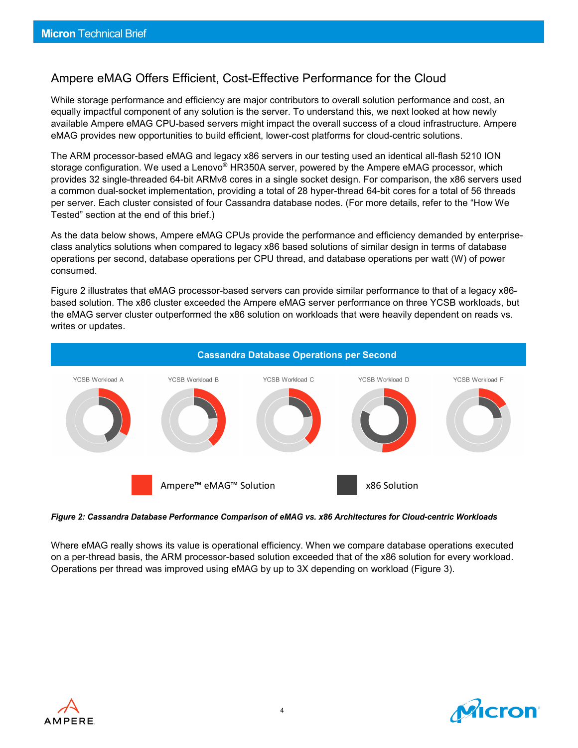## Ampere eMAG Offers Efficient, Cost-Effective Performance for the Cloud

While storage performance and efficiency are major contributors to overall solution performance and cost, an equally impactful component of any solution is the server. To understand this, we next looked at how newly available Ampere eMAG CPU-based servers might impact the overall success of a cloud infrastructure. Ampere eMAG provides new opportunities to build efficient, lower-cost platforms for cloud-centric solutions.

The ARM processor-based eMAG and legacy x86 servers in our testing used an identical all-flash 5210 ION storage configuration. We used a Lenovo® HR350A server, powered by the Ampere eMAG processor, which provides 32 single-threaded 64-bit ARMv8 cores in a single socket design. For comparison, the x86 servers used a common dual-socket implementation, providing a total of 28 hyper-thread 64-bit cores for a total of 56 threads per server. Each cluster consisted of four Cassandra database nodes. (For more details, refer to the "How We Tested" section at the end of this brief.)

As the data below shows, Ampere eMAG CPUs provide the performance and efficiency demanded by enterpriseclass analytics solutions when compared to legacy x86 based solutions of similar design in terms of database operations per second, database operations per CPU thread, and database operations per watt (W) of power consumed.

Figure 2 illustrates that eMAG processor-based servers can provide similar performance to that of a legacy x86 based solution. The x86 cluster exceeded the Ampere eMAG server performance on three YCSB workloads, but the eMAG server cluster outperformed the x86 solution on workloads that were heavily dependent on reads vs. writes or updates.



*Figure 2: Cassandra Database Performance Comparison of eMAG vs. x86 Architectures for Cloud-centric Workloads*

Where eMAG really shows its value is operational efficiency. When we compare database operations executed on a per-thread basis, the ARM processor-based solution exceeded that of the x86 solution for every workload. Operations per thread was improved using eMAG by up to 3X depending on workload (Figure 3).



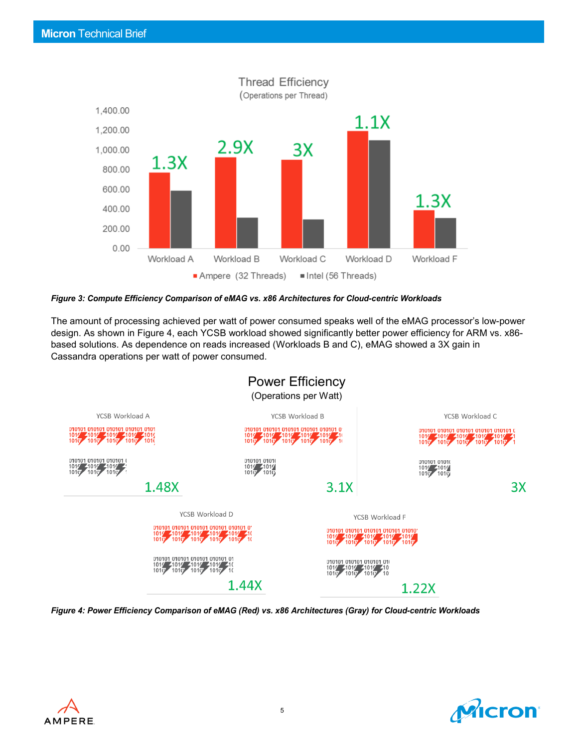

*Figure 3: Compute Efficiency Comparison of eMAG vs. x86 Architectures for Cloud-centric Workloads*

The amount of processing achieved per watt of power consumed speaks well of the eMAG processor's low-power design. As shown in Figure 4, each YCSB workload showed significantly better power efficiency for ARM vs. x86 based solutions. As dependence on reads increased (Workloads B and C), eMAG showed a 3X gain in Cassandra operations per watt of power consumed.



*Figure 4: Power Efficiency Comparison of eMAG (Red) vs. x86 Architectures (Gray) for Cloud-centric Workloads*



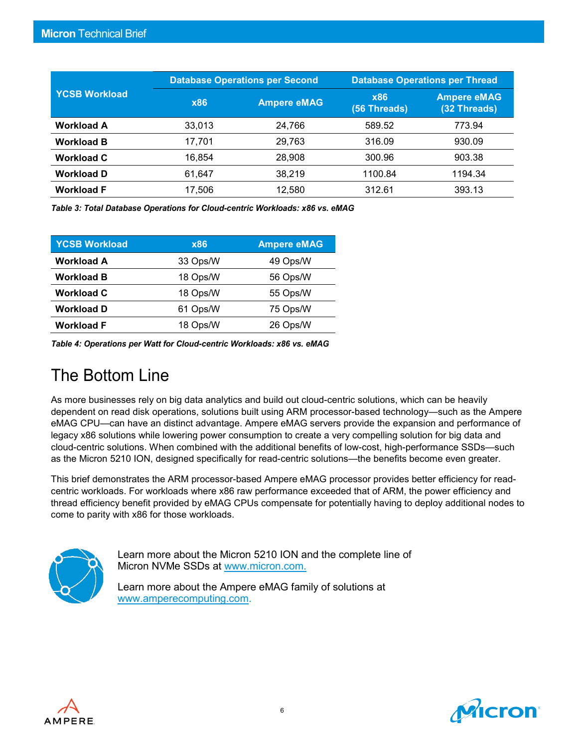|                      |            | <b>Database Operations per Second</b> |                            | <b>Database Operations per Thread</b> |  |
|----------------------|------------|---------------------------------------|----------------------------|---------------------------------------|--|
| <b>YCSB Workload</b> | <b>x86</b> | <b>Ampere eMAG</b>                    | <b>x86</b><br>(56 Threads) | <b>Ampere eMAG</b><br>(32 Threads)    |  |
| <b>Workload A</b>    | 33,013     | 24,766                                | 589.52                     | 773.94                                |  |
| <b>Workload B</b>    | 17,701     | 29,763                                | 316.09                     | 930.09                                |  |
| <b>Workload C</b>    | 16.854     | 28,908                                | 300.96                     | 903.38                                |  |
| <b>Workload D</b>    | 61.647     | 38.219                                | 1100.84                    | 1194.34                               |  |
| <b>Workload F</b>    | 17,506     | 12.580                                | 312.61                     | 393.13                                |  |

*Table 3: Total Database Operations for Cloud-centric Workloads: x86 vs. eMAG* 

| <b>YCSB Workload</b> | <b>x86</b> | <b>Ampere eMAG</b> |
|----------------------|------------|--------------------|
| <b>Workload A</b>    | 33 Ops/W   | 49 Ops/W           |
| <b>Workload B</b>    | 18 Ops/W   | 56 Ops/W           |
| <b>Workload C</b>    | 18 Ops/W   | 55 Ops/W           |
| <b>Workload D</b>    | 61 Ops/W   | 75 Ops/W           |
| <b>Workload F</b>    | 18 Ops/W   | 26 Ops/W           |

*Table 4: Operations per Watt for Cloud-centric Workloads: x86 vs. eMAG* 

## The Bottom Line

As more businesses rely on big data analytics and build out cloud-centric solutions, which can be heavily dependent on read disk operations, solutions built using ARM processor-based technology—such as the Ampere eMAG CPU—can have an distinct advantage. Ampere eMAG servers provide the expansion and performance of legacy x86 solutions while lowering power consumption to create a very compelling solution for big data and cloud-centric solutions. When combined with the additional benefits of low-cost, high-performance SSDs—such as the Micron 5210 ION, designed specifically for read-centric solutions—the benefits become even greater.

This brief demonstrates the ARM processor-based Ampere eMAG processor provides better efficiency for readcentric workloads. For workloads where x86 raw performance exceeded that of ARM, the power efficiency and thread efficiency benefit provided by eMAG CPUs compensate for potentially having to deploy additional nodes to come to parity with x86 for those workloads.



Learn more about the Micron 5210 ION and the complete line of Micron NVMe SSDs at [www.micron.com.](https://www.micron.com/products/solid-state-drives/bus-interfaces/nvme-ssds)

Learn more about the Ampere eMAG family of solutions at [www.amperecomputing.com.](http://www.amperecomputing.com/)



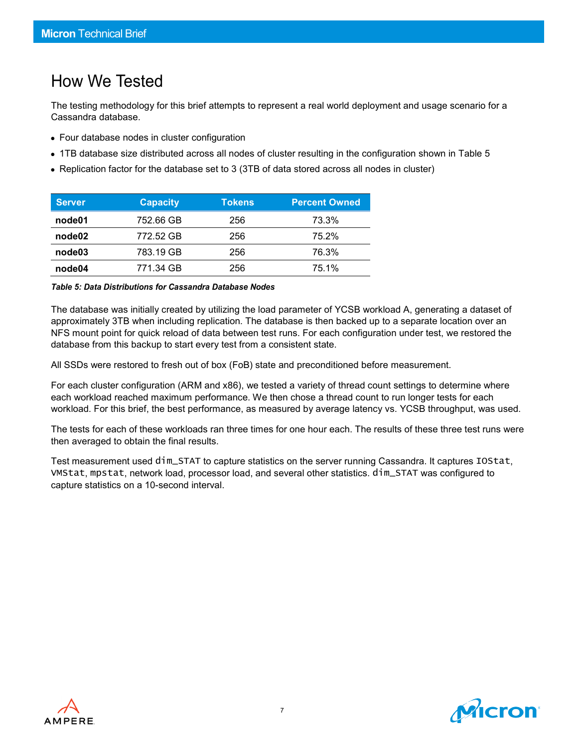## How We Tested

The testing methodology for this brief attempts to represent a real world deployment and usage scenario for a Cassandra database.

- Four database nodes in cluster configuration
- 1TB database size distributed across all nodes of cluster resulting in the configuration shown in Table 5
- Replication factor for the database set to 3 (3TB of data stored across all nodes in cluster)

| <b>Server</b>      | <b>Capacity</b> | <b>Tokens</b> | <b>Percent Owned</b> |
|--------------------|-----------------|---------------|----------------------|
| node01             | 752.66 GB       | 256           | 73.3%                |
| node <sub>02</sub> | 772.52 GB       | 256           | 75.2%                |
| node03             | 783.19 GB       | 256           | 76.3%                |
| node04             | 771.34 GB       | 256           | 75.1%                |

#### *Table 5: Data Distributions for Cassandra Database Nodes*

The database was initially created by utilizing the load parameter of YCSB workload A, generating a dataset of approximately 3TB when including replication. The database is then backed up to a separate location over an NFS mount point for quick reload of data between test runs. For each configuration under test, we restored the database from this backup to start every test from a consistent state.

All SSDs were restored to fresh out of box (FoB) state and preconditioned before measurement.

For each cluster configuration (ARM and x86), we tested a variety of thread count settings to determine where each workload reached maximum performance. We then chose a thread count to run longer tests for each workload. For this brief, the best performance, as measured by average latency vs. YCSB throughput, was used.

The tests for each of these workloads ran three times for one hour each. The results of these three test runs were then averaged to obtain the final results.

Test measurement used dim\_STAT to capture statistics on the server running Cassandra. It captures IOStat, VMStat, mpstat, network load, processor load, and several other statistics. dim\_STAT was configured to capture statistics on a 10-second interval.